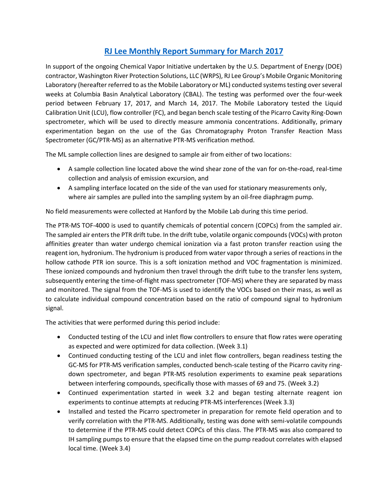## **[RJ Lee Monthly Report Summary for March](https://hanfordvapors.com/wp-content/uploads/2018/01/61485-RJ-Lee-Final-Monthly-Report-3-Rev.-01.pdf) 2017**

In support of the ongoing Chemical Vapor Initiative undertaken by the U.S. Department of Energy (DOE) contractor, Washington River Protection Solutions, LLC (WRPS), RJ Lee Group's Mobile Organic Monitoring Laboratory (hereafter referred to as the Mobile Laboratory or ML) conducted systems testing over several weeks at Columbia Basin Analytical Laboratory (CBAL). The testing was performed over the four-week period between February 17, 2017, and March 14, 2017. The Mobile Laboratory tested the Liquid Calibration Unit (LCU), flow controller (FC), and began bench scale testing of the Picarro Cavity Ring-Down spectrometer, which will be used to directly measure ammonia concentrations. Additionally, primary experimentation began on the use of the Gas Chromatography Proton Transfer Reaction Mass Spectrometer (GC/PTR-MS) as an alternative PTR-MS verification method.

The ML sample collection lines are designed to sample air from either of two locations:

- A sample collection line located above the wind shear zone of the van for on-the-road, real-time collection and analysis of emission excursion, and
- A sampling interface located on the side of the van used for stationary measurements only, where air samples are pulled into the sampling system by an oil-free diaphragm pump.

No field measurements were collected at Hanford by the Mobile Lab during this time period.

The PTR-MS TOF-4000 is used to quantify chemicals of potential concern (COPCs) from the sampled air. The sampled air enters the PTR drift tube. In the drift tube, volatile organic compounds (VOCs) with proton affinities greater than water undergo chemical ionization via a fast proton transfer reaction using the reagent ion, hydronium. The hydronium is produced from water vapor through a series of reactions in the hollow cathode PTR ion source. This is a soft ionization method and VOC fragmentation is minimized. These ionized compounds and hydronium then travel through the drift tube to the transfer lens system, subsequently entering the time-of-flight mass spectrometer (TOF-MS) where they are separated by mass and monitored. The signal from the TOF-MS is used to identify the VOCs based on their mass, as well as to calculate individual compound concentration based on the ratio of compound signal to hydronium signal.

The activities that were performed during this period include:

- Conducted testing of the LCU and inlet flow controllers to ensure that flow rates were operating as expected and were optimized for data collection. (Week 3.1)
- Continued conducting testing of the LCU and inlet flow controllers, began readiness testing the GC-MS for PTR-MS verification samples, conducted bench-scale testing of the Picarro cavity ringdown spectrometer, and began PTR-MS resolution experiments to examine peak separations between interfering compounds, specifically those with masses of 69 and 75. (Week 3.2)
- Continued experimentation started in week 3.2 and began testing alternate reagent ion experiments to continue attempts at reducing PTR-MS interferences (Week 3.3)
- Installed and tested the Picarro spectrometer in preparation for remote field operation and to verify correlation with the PTR-MS. Additionally, testing was done with semi-volatile compounds to determine if the PTR-MS could detect COPCs of this class. The PTR-MS was also compared to IH sampling pumps to ensure that the elapsed time on the pump readout correlates with elapsed local time. (Week 3.4)